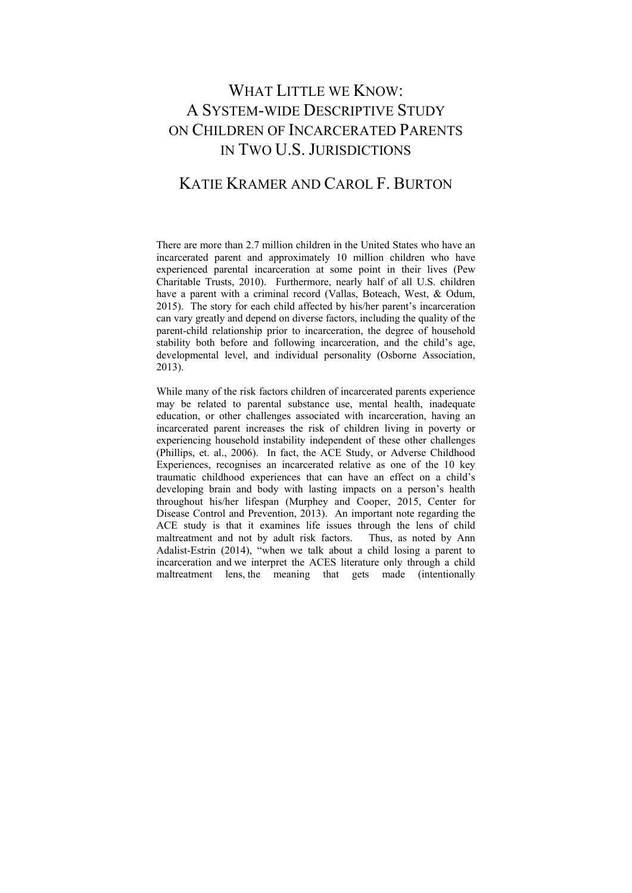# WHAT LITTLE WE KNOW. A SYSTEM-WIDE DESCRIPTIVE STUDY ON CHILDREN OF INCARCERATED PARENTS IN TWO U.S. JURISDICTIONS

# KATIE KRAMER AND CAROL F. BURTON

There are more than 2.7 million children in the United States who have an incarcerated parent and approximately 10 million children who have experienced parental incarceration at some point in their lives (Pew Charitable Trusts, 2010). Furthermore, nearly half of all U.S. children have a parent with a criminal record (Vallas, Boteach, West, & Odum, 2015). The story for each child affected by his/her parent's incarceration can vary greatly and depend on diverse factors, including the quality of the parent-child relationship prior to incarceration, the degree of household stability both before and following incarceration, and the child's age, developmental level, and individual personality (Osborne Association, 2013).

While many of the risk factors children of incarcerated parents experience may be related to parental substance use, mental health, inadequate education, or other challenges associated with incarceration, having an incarcerated parent increases the risk of children living in poverty or experiencing household instability independent of these other challenges (Phillips, et. al., 2006). In fact, the ACE Study, or Adverse Childhood Experiences, recognises an incarcerated relative as one of the 10 key traumatic childhood experiences that can have an effect on a child's developing brain and body with lasting impacts on a person's health throughout his/her lifespan (Murphey and Cooper, 2015, Center for Disease Control and Prevention, 2013). An important note regarding the ACE study is that it examines life issues through the lens of child maltreatment and not by adult risk factors. Thus, as noted by Ann Adalist-Estrin (2014), "when we talk about a child losing a parent to incarceration and we interpret the ACES literature only through a child maltreatment lens, the meaning that gets made (intentionally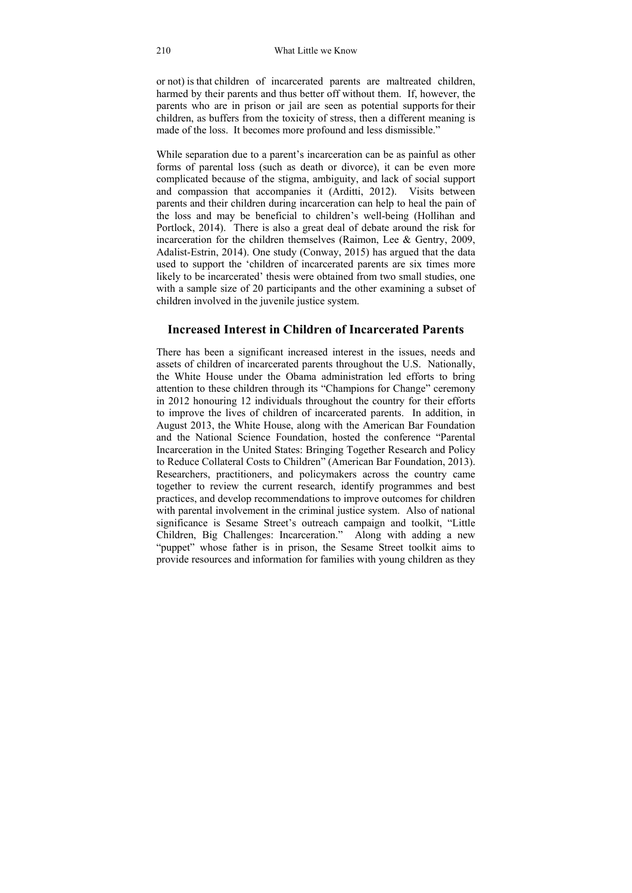or not) is that children of incarcerated parents are maltreated children, harmed by their parents and thus better off without them. If, however, the parents who are in prison or jail are seen as potential supports for their children, as buffers from the toxicity of stress, then a different meaning is made of the loss. It becomes more profound and less dismissible."

While separation due to a parent's incarceration can be as painful as other forms of parental loss (such as death or divorce), it can be even more complicated because of the stigma, ambiguity, and lack of social support and compassion that accompanies it (Arditti, 2012). Visits between parents and their children during incarceration can help to heal the pain of the loss and may be beneficial to children's well-being (Hollihan and Portlock, 2014). There is also a great deal of debate around the risk for incarceration for the children themselves (Raimon, Lee & Gentry, 2009, Adalist-Estrin, 2014). One study (Conway, 2015) has argued that the data used to support the 'children of incarcerated parents are six times more likely to be incarcerated' thesis were obtained from two small studies, one with a sample size of 20 participants and the other examining a subset of children involved in the juvenile justice system.

## **Increased Interest in Children of Incarcerated Parents**

There has been a significant increased interest in the issues, needs and assets of children of incarcerated parents throughout the U.S. Nationally, the White House under the Obama administration led efforts to bring attention to these children through its "Champions for Change" ceremony in 2012 honouring 12 individuals throughout the country for their efforts to improve the lives of children of incarcerated parents. In addition, in August 2013, the White House, along with the American Bar Foundation and the National Science Foundation, hosted the conference "Parental Incarceration in the United States: Bringing Together Research and Policy to Reduce Collateral Costs to Children" (American Bar Foundation, 2013). Researchers, practitioners, and policymakers across the country came together to review the current research, identify programmes and best practices, and develop recommendations to improve outcomes for children with parental involvement in the criminal justice system. Also of national significance is Sesame Street's outreach campaign and toolkit, "Little Children, Big Challenges: Incarceration." Along with adding a new "puppet" whose father is in prison, the Sesame Street toolkit aims to provide resources and information for families with young children as they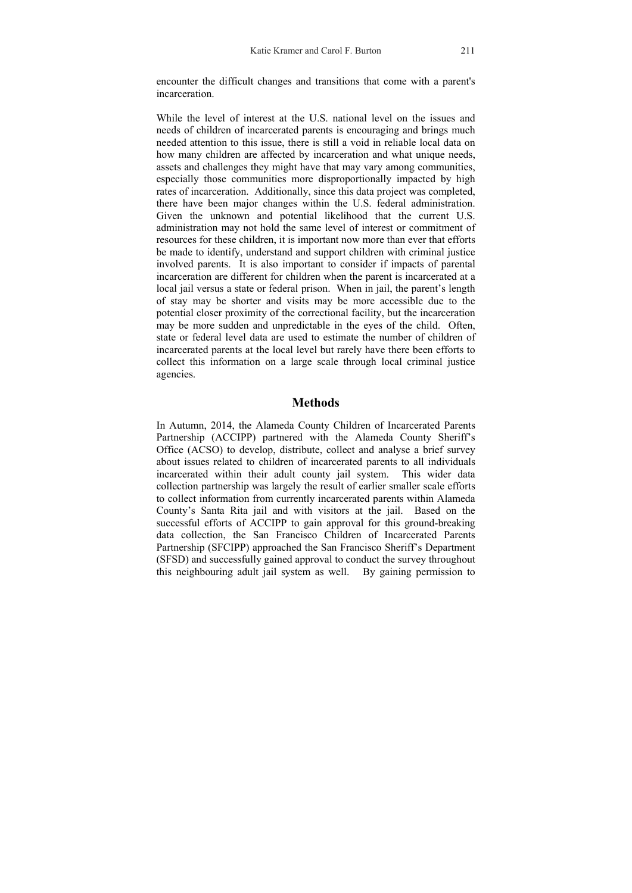encounter the difficult changes and transitions that come with a parent's incarceration.

While the level of interest at the U.S. national level on the issues and needs of children of incarcerated parents is encouraging and brings much needed attention to this issue, there is still a void in reliable local data on how many children are affected by incarceration and what unique needs. assets and challenges they might have that may vary among communities, especially those communities more disproportionally impacted by high rates of incarceration. Additionally, since this data project was completed, there have been major changes within the U.S. federal administration. Given the unknown and potential likelihood that the current U.S. administration may not hold the same level of interest or commitment of resources for these children, it is important now more than ever that efforts be made to identify, understand and support children with criminal justice involved parents. It is also important to consider if impacts of parental incarceration are different for children when the parent is incarcerated at a local jail versus a state or federal prison. When in jail, the parent's length of stay may be shorter and visits may be more accessible due to the potential closer proximity of the correctional facility, but the incarceration may be more sudden and unpredictable in the eyes of the child. Often, state or federal level data are used to estimate the number of children of incarcerated parents at the local level but rarely have there been efforts to collect this information on a large scale through local criminal justice agencies.

## **Methods**

In Autumn, 2014, the Alameda County Children of Incarcerated Parents Partnership (ACCIPP) partnered with the Alameda County Sheriff's Office (ACSO) to develop, distribute, collect and analyse a brief survey about issues related to children of incarcerated parents to all individuals incarcerated within their adult county jail system. This wider data collection partnership was largely the result of earlier smaller scale efforts to collect information from currently incarcerated parents within Alameda County's Santa Rita jail and with visitors at the jail. Based on the successful efforts of ACCIPP to gain approval for this ground-breaking data collection, the San Francisco Children of Incarcerated Parents Partnership (SFCIPP) approached the San Francisco Sheriff's Department (SFSD) and successfully gained approval to conduct the survey throughout this neighbouring adult jail system as well. By gaining permission to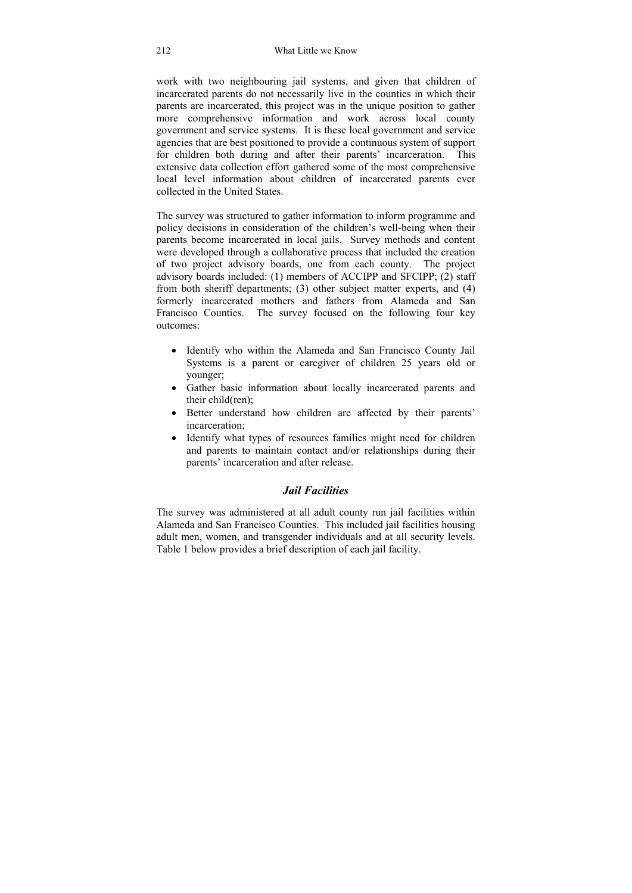work with two neighbouring jail systems, and given that children of incarcerated parents do not necessarily live in the counties in which their parents are incarcerated, this project was in the unique position to gather more comprehensive information and work across local county government and service systems. It is these local government and service agencies that are best positioned to provide a continuous system of support for children both during and after their parents' incarceration. This extensive data collection effort gathered some of the most comprehensive local level information about children of incarcerated parents ever collected in the United States.

The survey was structured to gather information to inform programme and policy decisions in consideration of the children's well-being when their parents become incarcerated in local jails. Survey methods and content were developed through a collaborative process that included the creation of two project advisory boards, one from each county. The project advisory boards included: (1) members of ACCIPP and SFCIPP; (2) staff from both sheriff departments; (3) other subject matter experts, and (4) formerly incarcerated mothers and fathers from Alameda and San Francisco Counties. The survey focused on the following four key outcomes:

- Identify who within the Alameda and San Francisco County Jail Systems is a parent or caregiver of children 25 years old or younger;
- Gather basic information about locally incarcerated parents and their child(ren);
- Better understand how children are affected by their parents' incarceration;
- Identify what types of resources families might need for children and parents to maintain contact and/or relationships during their parents' incarceration and after release.

## *Jail Facilities*

The survey was administered at all adult county run jail facilities within Alameda and San Francisco Counties. This included jail facilities housing adult men, women, and transgender individuals and at all security levels. Table 1 below provides a brief description of each jail facility.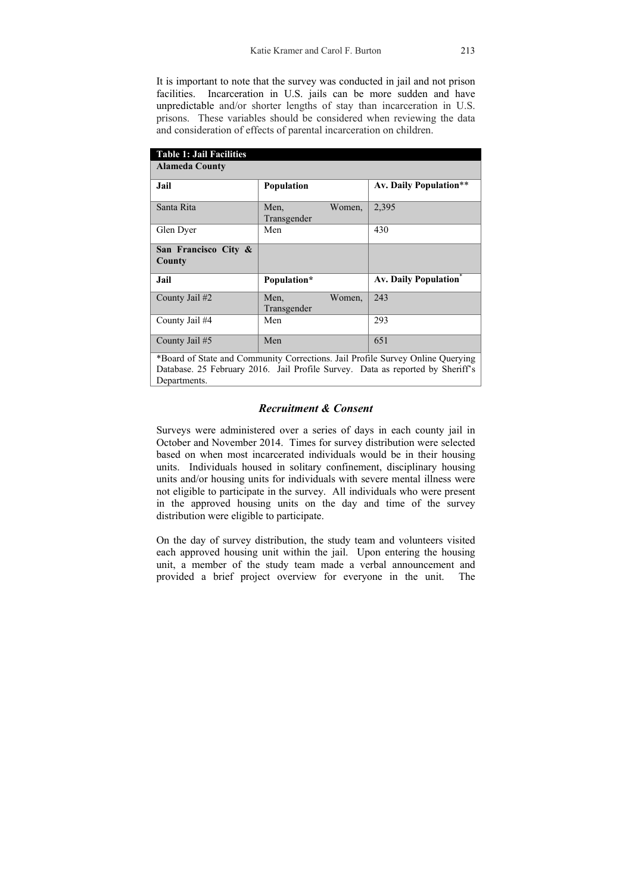It is important to note that the survey was conducted in jail and not prison facilities. Incarceration in U.S. jails can be more sudden and have unpredictable and/or shorter lengths of stay than incarceration in U.S. prisons. These variables should be considered when reviewing the data and consideration of effects of parental incarceration on children.

| <b>Table 1: Jail Facilities</b>                                                                                                                                  |                               |                               |  |  |
|------------------------------------------------------------------------------------------------------------------------------------------------------------------|-------------------------------|-------------------------------|--|--|
| <b>Alameda County</b>                                                                                                                                            |                               |                               |  |  |
| Jail                                                                                                                                                             | Population                    | <b>Av. Daily Population**</b> |  |  |
| Santa Rita                                                                                                                                                       | Women,<br>Men,<br>Transgender | 2,395                         |  |  |
| Glen Dyer                                                                                                                                                        | Men                           | 430                           |  |  |
| San Francisco City &<br>County                                                                                                                                   |                               |                               |  |  |
| Jail                                                                                                                                                             | Population*                   | <b>Av. Daily Population</b>   |  |  |
| County Jail #2                                                                                                                                                   | Men,<br>Women,<br>Transgender | 243                           |  |  |
| County Jail #4                                                                                                                                                   | Men                           | 293                           |  |  |
| County Jail #5                                                                                                                                                   | Men                           | 651                           |  |  |
| *Board of State and Community Corrections. Jail Profile Survey Online Querying<br>Database. 25 February 2016. Jail Profile Survey. Data as reported by Sheriff's |                               |                               |  |  |

## *Recruitment & Consent*

Departments.

Surveys were administered over a series of days in each county jail in October and November 2014. Times for survey distribution were selected based on when most incarcerated individuals would be in their housing units. Individuals housed in solitary confinement, disciplinary housing units and/or housing units for individuals with severe mental illness were not eligible to participate in the survey. All individuals who were present in the approved housing units on the day and time of the survey distribution were eligible to participate.

On the day of survey distribution, the study team and volunteers visited each approved housing unit within the jail. Upon entering the housing unit, a member of the study team made a verbal announcement and provided a brief project overview for everyone in the unit. The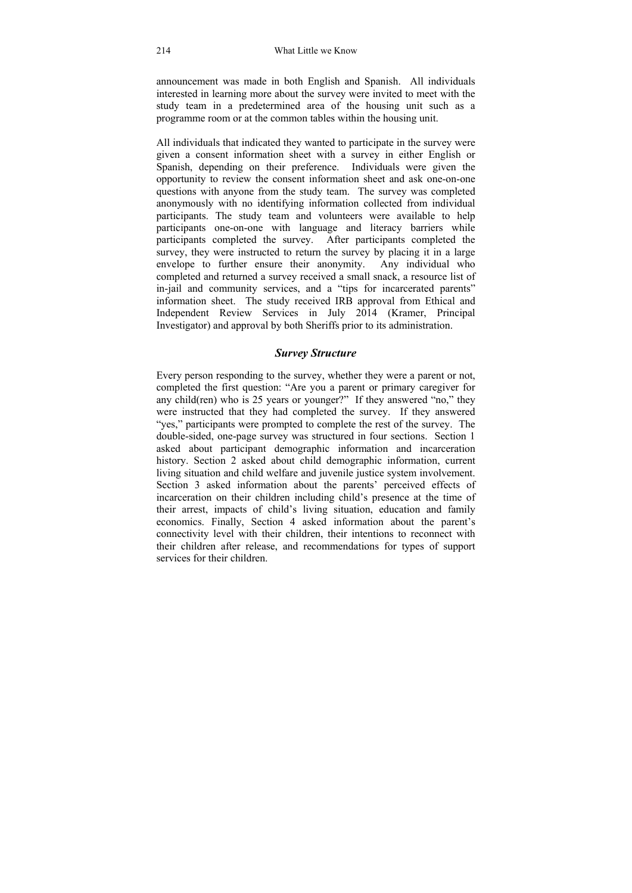announcement was made in both English and Spanish. All individuals interested in learning more about the survey were invited to meet with the study team in a predetermined area of the housing unit such as a programme room or at the common tables within the housing unit.

All individuals that indicated they wanted to participate in the survey were given a consent information sheet with a survey in either English or Spanish, depending on their preference. Individuals were given the opportunity to review the consent information sheet and ask one-on-one questions with anyone from the study team. The survey was completed anonymously with no identifying information collected from individual participants. The study team and volunteers were available to help participants one-on-one with language and literacy barriers while participants completed the survey. After participants completed the survey, they were instructed to return the survey by placing it in a large envelope to further ensure their anonymity. Any individual who envelope to further ensure their anonymity. completed and returned a survey received a small snack, a resource list of in-jail and community services, and a "tips for incarcerated parents" information sheet. The study received IRB approval from Ethical and Independent Review Services in July 2014 (Kramer, Principal Investigator) and approval by both Sheriffs prior to its administration.

## *Survey Structure*

Every person responding to the survey, whether they were a parent or not, completed the first question: "Are you a parent or primary caregiver for any child(ren) who is 25 years or younger?" If they answered "no," they were instructed that they had completed the survey. If they answered "yes," participants were prompted to complete the rest of the survey. The double-sided, one-page survey was structured in four sections. Section 1 asked about participant demographic information and incarceration history. Section 2 asked about child demographic information, current living situation and child welfare and juvenile justice system involvement. Section 3 asked information about the parents' perceived effects of incarceration on their children including child's presence at the time of their arrest, impacts of child's living situation, education and family economics. Finally, Section 4 asked information about the parent's connectivity level with their children, their intentions to reconnect with their children after release, and recommendations for types of support services for their children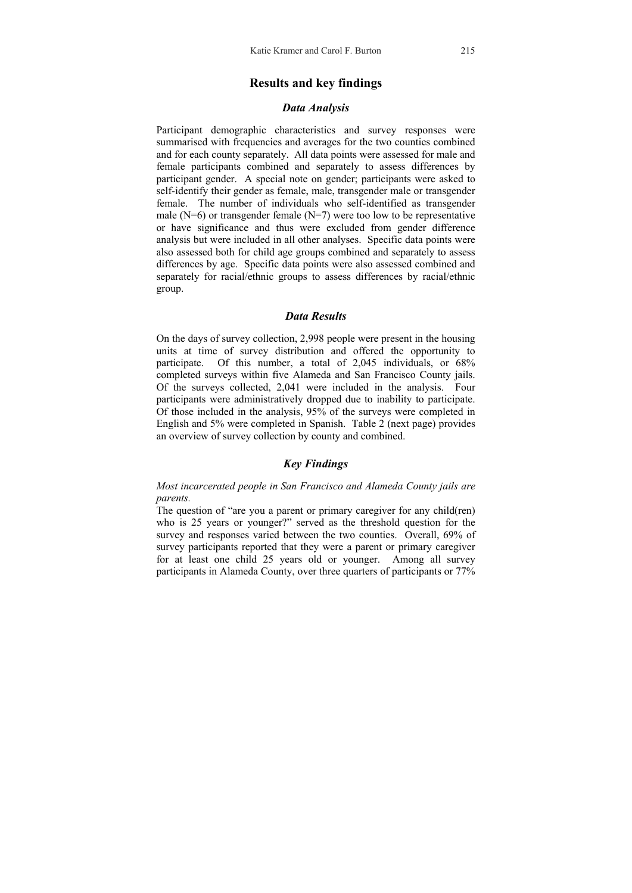### **Results and key findings**

#### *Data Analysis*

Participant demographic characteristics and survey responses were summarised with frequencies and averages for the two counties combined and for each county separately. All data points were assessed for male and female participants combined and separately to assess differences by participant gender. A special note on gender; participants were asked to self-identify their gender as female, male, transgender male or transgender female. The number of individuals who self-identified as transgender male ( $N=6$ ) or transgender female ( $N=7$ ) were too low to be representative or have significance and thus were excluded from gender difference analysis but were included in all other analyses. Specific data points were also assessed both for child age groups combined and separately to assess differences by age. Specific data points were also assessed combined and separately for racial/ethnic groups to assess differences by racial/ethnic group.

#### *Data Results*

On the days of survey collection, 2,998 people were present in the housing units at time of survey distribution and offered the opportunity to participate. Of this number, a total of 2,045 individuals, or 68% completed surveys within five Alameda and San Francisco County jails. Of the surveys collected, 2,041 were included in the analysis. Four participants were administratively dropped due to inability to participate. Of those included in the analysis, 95% of the surveys were completed in English and 5% were completed in Spanish. Table 2 (next page) provides an overview of survey collection by county and combined.

### *Key Findings*

*Most incarcerated people in San Francisco and Alameda County jails are parents.* 

The question of "are you a parent or primary caregiver for any child(ren) who is 25 years or younger?" served as the threshold question for the survey and responses varied between the two counties. Overall, 69% of survey participants reported that they were a parent or primary caregiver for at least one child 25 years old or younger. Among all survey participants in Alameda County, over three quarters of participants or 77%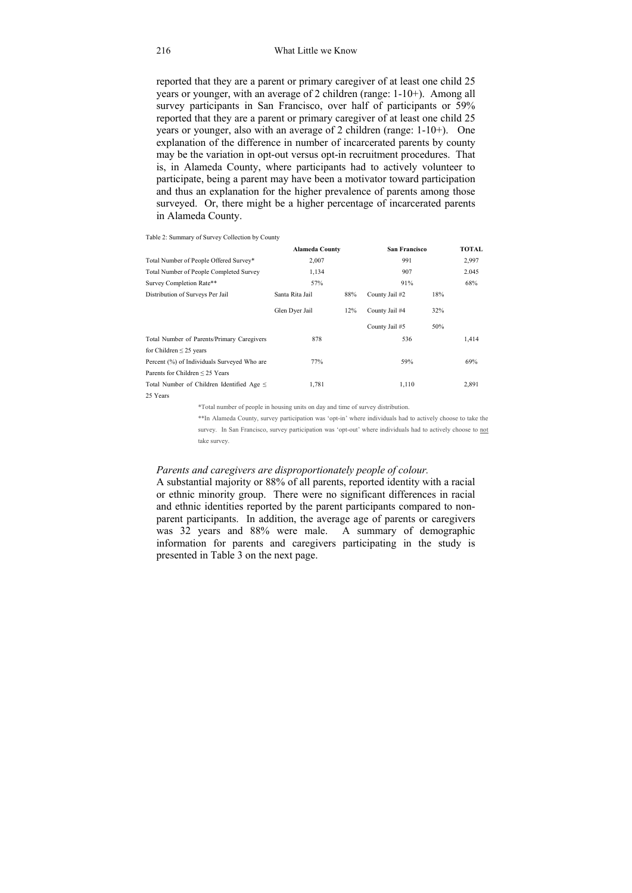reported that they are a parent or primary caregiver of at least one child 25 years or younger, with an average of 2 children (range: 1-10+). Among all survey participants in San Francisco, over half of participants or 59% reported that they are a parent or primary caregiver of at least one child 25 years or younger, also with an average of 2 children (range: 1-10+). One explanation of the difference in number of incarcerated parents by county may be the variation in opt-out versus opt-in recruitment procedures. That is, in Alameda County, where participants had to actively volunteer to participate, being a parent may have been a motivator toward participation and thus an explanation for the higher prevalence of parents among those surveyed. Or, there might be a higher percentage of incarcerated parents in Alameda County.

|                                                | <b>Alameda County</b> |     | <b>San Francisco</b> |     | <b>TOTAL</b> |
|------------------------------------------------|-----------------------|-----|----------------------|-----|--------------|
| Total Number of People Offered Survey*         | 2,007                 |     | 991                  |     | 2,997        |
| Total Number of People Completed Survey        | 1,134                 |     | 907                  |     | 2.045        |
| Survey Completion Rate**                       | 57%                   |     | 91%                  |     | 68%          |
| Distribution of Surveys Per Jail               | Santa Rita Jail       | 88% | County Jail #2       | 18% |              |
|                                                | Glen Dyer Jail        | 12% | County Jail #4       | 32% |              |
|                                                |                       |     | County Jail #5       | 50% |              |
| Total Number of Parents/Primary Caregivers     | 878                   |     | 536                  |     | 1,414        |
| for Children $\leq$ 25 years                   |                       |     |                      |     |              |
| Percent (%) of Individuals Surveyed Who are    | 77%                   |     | 59%                  |     | 69%          |
| Parents for Children $\leq$ 25 Years           |                       |     |                      |     |              |
| Total Number of Children Identified Age $\leq$ | 1,781                 |     | 1,110                |     | 2,891        |
| 25 Years                                       |                       |     |                      |     |              |

Table 2: Summary of Survey Collection by County

\*Total number of people in housing units on day and time of survey distribution.

\*\*In Alameda County, survey participation was 'opt-in' where individuals had to actively choose to take the survey. In San Francisco, survey participation was 'opt-out' where individuals had to actively choose to not take survey.

#### *Parents and caregivers are disproportionately people of colour.*

A substantial majority or 88% of all parents, reported identity with a racial or ethnic minority group. There were no significant differences in racial and ethnic identities reported by the parent participants compared to nonparent participants.In addition, the average age of parents or caregivers was 32 years and 88% were male. A summary of demographic information for parents and caregivers participating in the study is presented in Table 3 on the next page.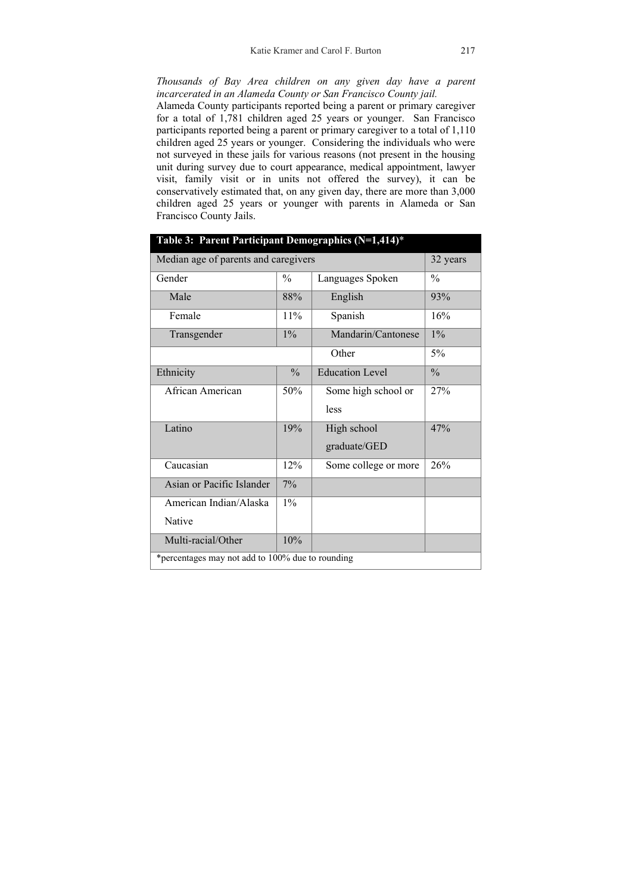*Thousands of Bay Area children on any given day have a parent incarcerated in an Alameda County or San Francisco County jail.* 

Alameda County participants reported being a parent or primary caregiver for a total of 1,781 children aged 25 years or younger. San Francisco participants reported being a parent or primary caregiver to a total of 1,110 children aged 25 years or younger. Considering the individuals who were not surveyed in these jails for various reasons (not present in the housing unit during survey due to court appearance, medical appointment, lawyer visit, family visit or in units not offered the survey), it can be conservatively estimated that, on any given day, there are more than 3,000 children aged 25 years or younger with parents in Alameda or San Francisco County Jails.

| Table 3: Parent Participant Demographics (N=1,414)* |               |                        |               |
|-----------------------------------------------------|---------------|------------------------|---------------|
| Median age of parents and caregivers                |               | 32 years               |               |
| Gender                                              | $\frac{0}{0}$ | Languages Spoken       | $\frac{0}{0}$ |
| Male                                                | 88%           | English                | 93%           |
| Female                                              | 11%           | Spanish                | 16%           |
| Transgender                                         | $1\%$         | Mandarin/Cantonese     | $1\%$         |
|                                                     |               | Other                  | $5\%$         |
| Ethnicity                                           | $\frac{0}{0}$ | <b>Education Level</b> | $\frac{0}{0}$ |
| African American                                    | 50%           | Some high school or    | 27%           |
|                                                     |               | less                   |               |
| Latino                                              | 19%           | High school            | 47%           |
|                                                     |               | graduate/GED           |               |
| Caucasian                                           | 12%           | Some college or more   | 26%           |
| Asian or Pacific Islander                           | $7\%$         |                        |               |
| American Indian/Alaska                              | $1\%$         |                        |               |
| Native                                              |               |                        |               |
| Multi-racial/Other                                  | 10%           |                        |               |
| *percentages may not add to 100% due to rounding    |               |                        |               |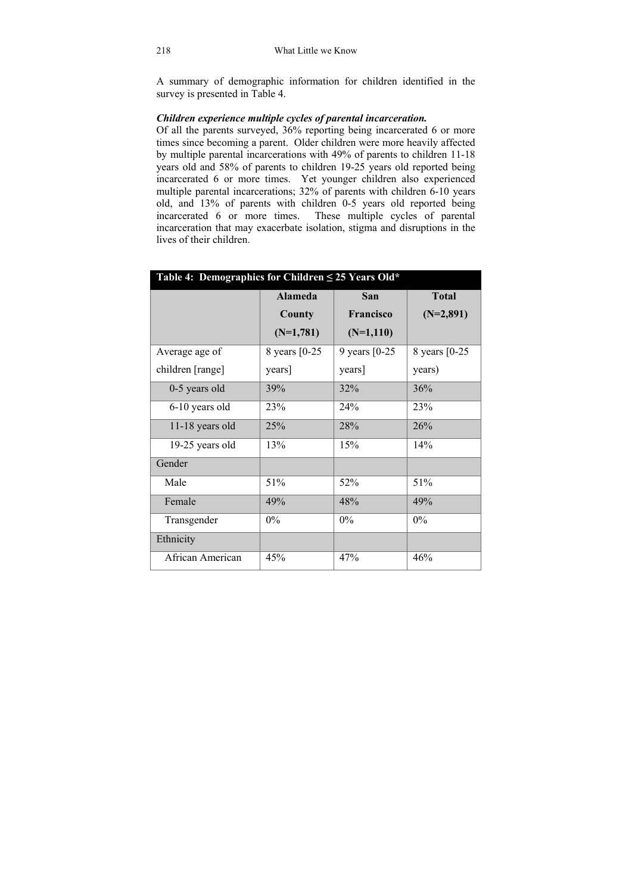A summary of demographic information for children identified in the survey is presented in Table 4.

## *Children experience multiple cycles of parental incarceration.*

Of all the parents surveyed, 36% reporting being incarcerated 6 or more times since becoming a parent. Older children were more heavily affected by multiple parental incarcerations with 49% of parents to children 11-18 years old and 58% of parents to children 19-25 years old reported being incarcerated 6 or more times. Yet younger children also experienced multiple parental incarcerations; 32% of parents with children 6-10 years old, and 13% of parents with children 0-5 years old reported being incarcerated 6 or more times. These multiple cycles of parental incarceration that may exacerbate isolation, stigma and disruptions in the lives of their children.

| Table 4: Demographics for Children $\leq$ 25 Years Old* |                |                  |                |  |
|---------------------------------------------------------|----------------|------------------|----------------|--|
|                                                         | <b>Alameda</b> | San              | <b>Total</b>   |  |
|                                                         | County         | Francisco        | $(N=2,891)$    |  |
|                                                         | $(N=1,781)$    | $(N=1,110)$      |                |  |
| Average age of                                          | 8 years [0-25] | 9 years $[0-25]$ | 8 years [0-25] |  |
| children [range]                                        | years]         | years]           | years)         |  |
| 0-5 years old                                           | 39%            | 32%              | 36%            |  |
| 6-10 years old                                          | 23%            | 24%              | 23%            |  |
| 11-18 years old                                         | 25%            | 28%              | 26%            |  |
| 19-25 years old                                         | 13%            | 15%              | 14%            |  |
| Gender                                                  |                |                  |                |  |
| Male                                                    | 51%            | 52%              | 51%            |  |
| Female                                                  | 49%            | 48%              | 49%            |  |
| Transgender                                             | $0\%$          | 0%               | $0\%$          |  |
| Ethnicity                                               |                |                  |                |  |
| African American                                        | 45%            | 47%              | 46%            |  |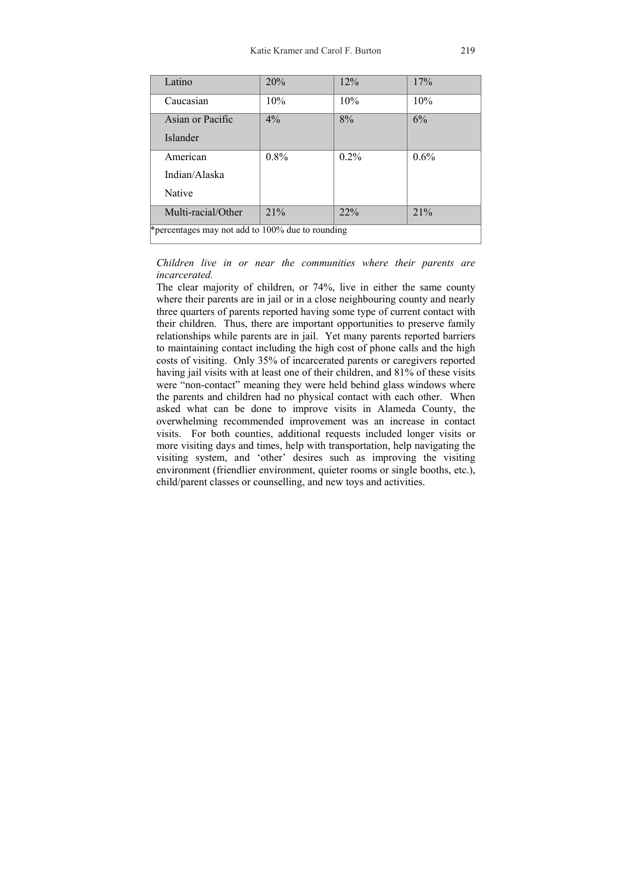| Latino                                            | 20%     | 12%  | 17%  |  |
|---------------------------------------------------|---------|------|------|--|
| Caucasian                                         | 10%     | 10%  | 10%  |  |
| Asian or Pacific                                  | 4%      | 8%   | 6%   |  |
| Islander                                          |         |      |      |  |
| American                                          | $0.8\%$ | 0.2% | 0.6% |  |
| Indian/Alaska                                     |         |      |      |  |
| Native                                            |         |      |      |  |
| Multi-racial/Other                                | 21%     | 22%  | 21%  |  |
| * percentages may not add to 100% due to rounding |         |      |      |  |

#### *Children live in or near the communities where their parents are incarcerated.*

The clear majority of children, or 74%, live in either the same county where their parents are in jail or in a close neighbouring county and nearly three quarters of parents reported having some type of current contact with their children. Thus, there are important opportunities to preserve family relationships while parents are in jail.Yet many parents reported barriers to maintaining contact including the high cost of phone calls and the high costs of visiting. Only 35% of incarcerated parents or caregivers reported having jail visits with at least one of their children, and 81% of these visits were "non-contact" meaning they were held behind glass windows where the parents and children had no physical contact with each other. When asked what can be done to improve visits in Alameda County, the overwhelming recommended improvement was an increase in contact visits. For both counties, additional requests included longer visits or more visiting days and times, help with transportation, help navigating the visiting system, and 'other' desires such as improving the visiting environment (friendlier environment, quieter rooms or single booths, etc.), child/parent classes or counselling, and new toys and activities.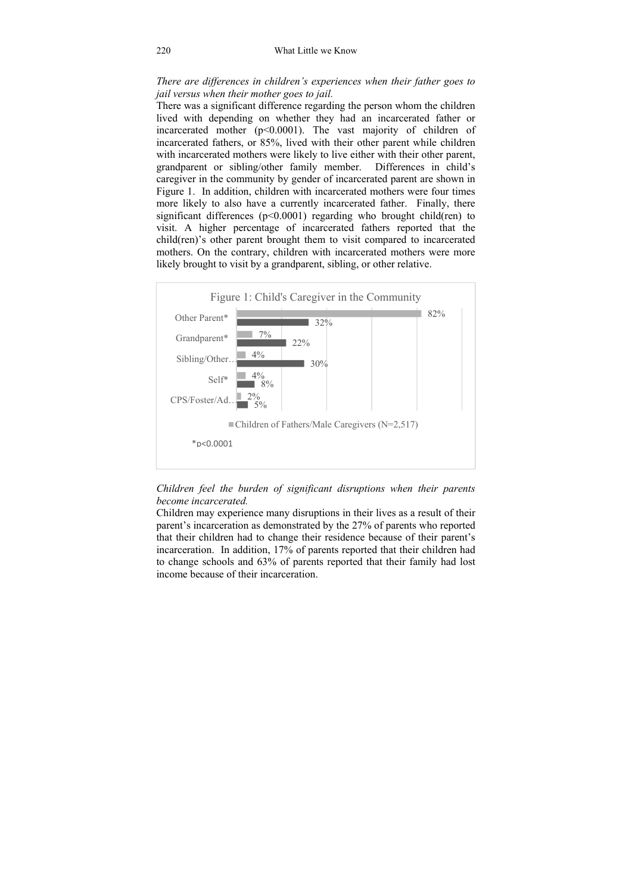*There are differences in children's experiences when their father goes to jail versus when their mother goes to jail.* 

There was a significant difference regarding the person whom the children lived with depending on whether they had an incarcerated father or incarcerated mother  $(p<0.0001)$ . The vast majority of children of incarcerated fathers, or 85%, lived with their other parent while children with incarcerated mothers were likely to live either with their other parent, grandparent or sibling/other family member.Differences in child's caregiver in the community by gender of incarcerated parent are shown in Figure 1. In addition, children with incarcerated mothers were four times more likely to also have a currently incarcerated father. Finally, there significant differences ( $p<0.0001$ ) regarding who brought child(ren) to visit. A higher percentage of incarcerated fathers reported that the child(ren)'s other parent brought them to visit compared to incarcerated mothers. On the contrary, children with incarcerated mothers were more likely brought to visit by a grandparent, sibling, or other relative.



### *Children feel the burden of significant disruptions when their parents become incarcerated.*

Children may experience many disruptions in their lives as a result of their parent's incarceration as demonstrated by the 27% of parents who reported that their children had to change their residence because of their parent's incarceration. In addition, 17% of parents reported that their children had to change schools and 63% of parents reported that their family had lost income because of their incarceration.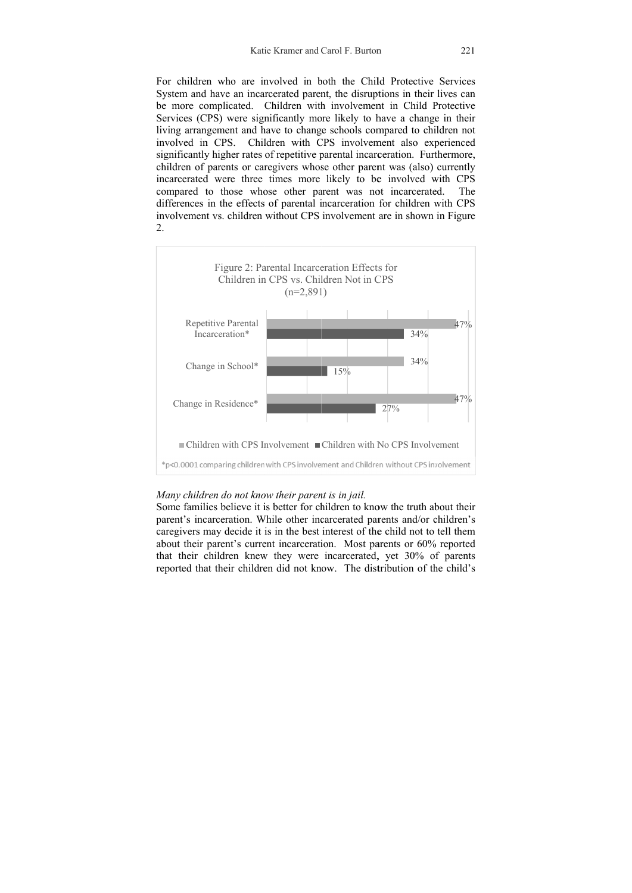Katie Kramer and Carol F. Burton 221<br>For children who are involved in both the Child Protective Services System and have an incarcerated parent, the disruptions in their lives can be more complicated. Children with involvement in Child Protective Services (CPS) were significantly more likely to have a change in their living arrangement and have to change schools compared to children not involved in CPS. Children with CPS involvement also experienced significantly higher rates of repetitive parental incarceration. Furthermore, children of parents or caregivers whose other parent was (also) currently incarcerated were three times more likely to be involved with CPS compared to those whose other parent was not incarcerated. The differences in the effects of parental incarceration for children with CPS involvement vs. children without CPS involvement are in shown in Figure  $\mathcal{L}$ 



#### *Many children do not know their parent is in jail.*

Some families believe it is better for children to know the truth about their parent's incarceration. While other incarcerated parents and/or children's caregivers may decide it is in the best interest of the child not to tell them about their parent's current incarceration. Most parents or 60% reported that their children knew they were incarcerated, yet 30% of parents reported that their children did not know. The distribution of the child's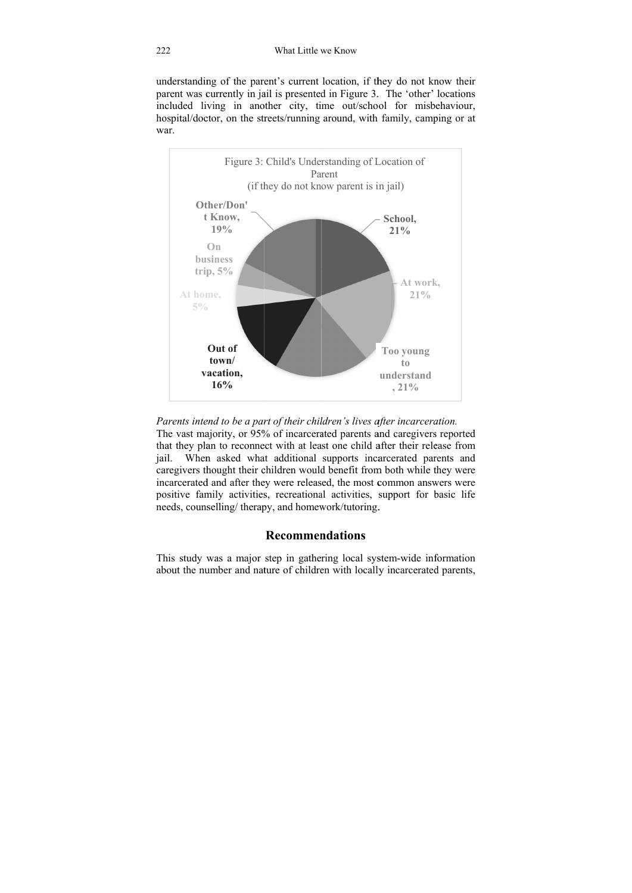understanding of the parent's current location, if they do not know their parent was currently in jail is presented in Figure 3. The 'other' locations included living in another city, time out/school for misbehaviour, hospital/doctor, on the streets/running around, with family, camping or at war.



*Parents intend to be a part of their children's lives after incarceration.* 

The vast majority, or 95% of incarcerated parents and caregivers reported that they plan to reconnect with at least one child after their release from jail. When asked what additional supports incarcerated parents and caregivers thought their children would benefit from both while they were incarcerated and after they were released, the most common answers were positive family activities, recreational activities, support for basic life needs, counselling/ therapy, and homework/tutoring.

## **Recommendations**

This study was a major step in gathering local system-wide information about the number and nature of children with locally incarcerated parents,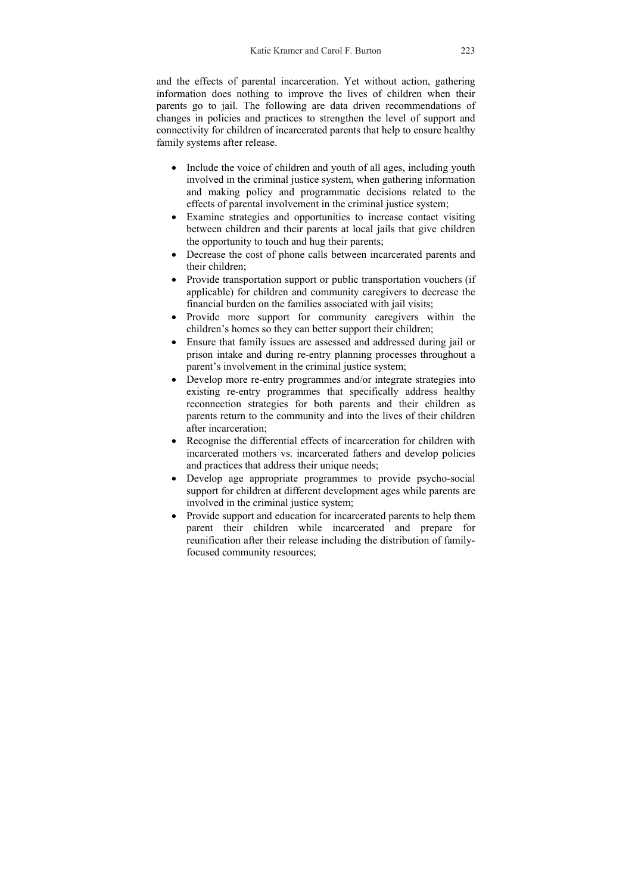and the effects of parental incarceration. Yet without action, gathering information does nothing to improve the lives of children when their parents go to jail. The following are data driven recommendations of changes in policies and practices to strengthen the level of support and connectivity for children of incarcerated parents that help to ensure healthy family systems after release.

- Include the voice of children and youth of all ages, including youth involved in the criminal justice system, when gathering information and making policy and programmatic decisions related to the effects of parental involvement in the criminal justice system;
- Examine strategies and opportunities to increase contact visiting between children and their parents at local jails that give children the opportunity to touch and hug their parents;
- Decrease the cost of phone calls between incarcerated parents and their children;
- Provide transportation support or public transportation vouchers (if applicable) for children and community caregivers to decrease the financial burden on the families associated with jail visits;
- Provide more support for community caregivers within the children's homes so they can better support their children;
- Ensure that family issues are assessed and addressed during jail or prison intake and during re-entry planning processes throughout a parent's involvement in the criminal justice system;
- Develop more re-entry programmes and/or integrate strategies into existing re-entry programmes that specifically address healthy reconnection strategies for both parents and their children as parents return to the community and into the lives of their children after incarceration;
- Recognise the differential effects of incarceration for children with incarcerated mothers vs. incarcerated fathers and develop policies and practices that address their unique needs;
- Develop age appropriate programmes to provide psycho-social support for children at different development ages while parents are involved in the criminal justice system;
- Provide support and education for incarcerated parents to help them parent their children while incarcerated and prepare for reunification after their release including the distribution of familyfocused community resources;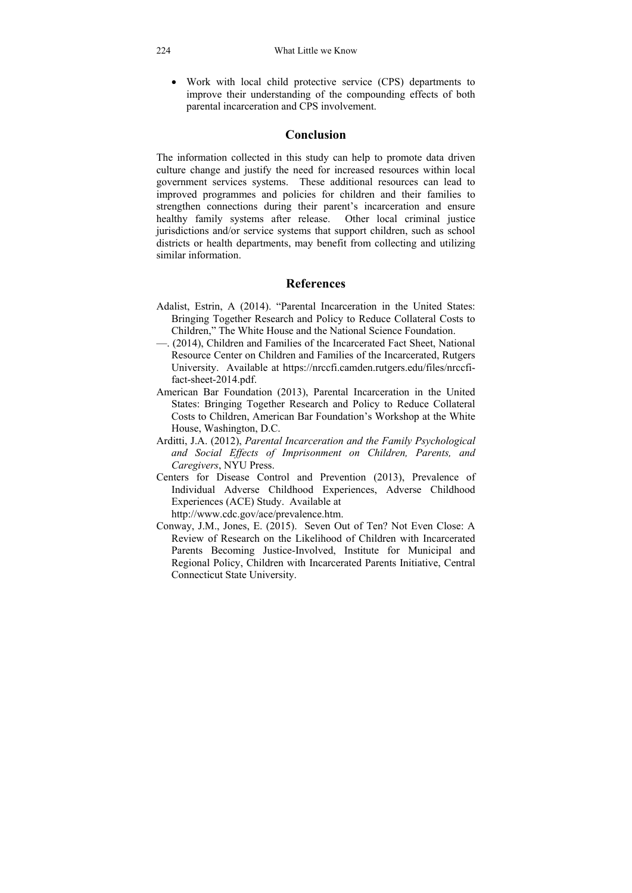• Work with local child protective service (CPS) departments to improve their understanding of the compounding effects of both parental incarceration and CPS involvement.

## **Conclusion**

The information collected in this study can help to promote data driven culture change and justify the need for increased resources within local government services systems. These additional resources can lead to improved programmes and policies for children and their families to strengthen connections during their parent's incarceration and ensure healthy family systems after release. Other local criminal justice jurisdictions and/or service systems that support children, such as school districts or health departments, may benefit from collecting and utilizing similar information.

## **References**

- Adalist, Estrin, A (2014). "Parental Incarceration in the United States: Bringing Together Research and Policy to Reduce Collateral Costs to Children," The White House and the National Science Foundation.
- —. (2014), Children and Families of the Incarcerated Fact Sheet, National Resource Center on Children and Families of the Incarcerated, Rutgers University. Available at https://nrccfi.camden.rutgers.edu/files/nrccfifact-sheet-2014.pdf.
- American Bar Foundation (2013), Parental Incarceration in the United States: Bringing Together Research and Policy to Reduce Collateral Costs to Children, American Bar Foundation's Workshop at the White House, Washington, D.C.
- Arditti, J.A. (2012), *Parental Incarceration and the Family Psychological and Social Effects of Imprisonment on Children, Parents, and Caregivers*, NYU Press.
- Centers for Disease Control and Prevention (2013), Prevalence of Individual Adverse Childhood Experiences, Adverse Childhood Experiences (ACE) Study. Available at http://www.cdc.gov/ace/prevalence.htm.
- Conway, J.M., Jones, E. (2015). Seven Out of Ten? Not Even Close: A Review of Research on the Likelihood of Children with Incarcerated Parents Becoming Justice-Involved, Institute for Municipal and Regional Policy, Children with Incarcerated Parents Initiative, Central Connecticut State University.